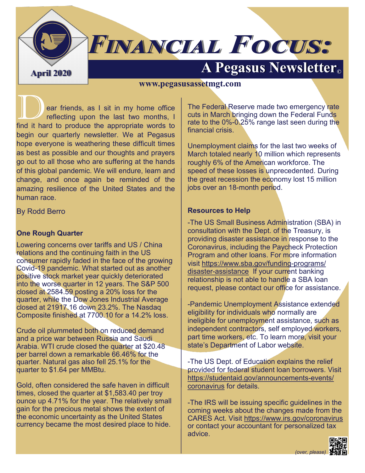

# **FINANCIAL FOCUS:**

# **April 2020 A Pegasus Newsletter©**

#### **www.pegasusassetmgt.com**

ear friends, as I sit in my home office reflecting upon the last two months, I find it hard to produce the appropriate words to begin our quarterly newsletter. We at Pegasus hope everyone is weathering these difficult times as best as possible and our thoughts and prayers go out to all those who are suffering at the hands of this global pandemic. We will endure, learn and change, and once again be reminded of the amazing resilience of the United States and the human race.

By Rodd Berro

#### **One Rough Quarter**

Lowering concerns over tariffs and US / China relations and the continuing faith in the US consumer rapidly faded in the face of the growing Covid-19 pandemic. What started out as another positive stock market year quickly deteriorated into the worse quarter in 12 years. The S&P 500 closed at 2584.59 posting a 20% loss for the quarter, while the Dow Jones Industrial Average closed at 21917.16 down 23.2%. The Nasdaq Composite finished at 7700.10 for a 14.2% loss.

Crude oil plummeted both on reduced demand and a price war between Russia and Saudi Arabia. WTI crude closed the quarter at \$20.48 per barrel down a remarkable 66.46% for the quarter. Natural gas also fell 25.1% for the quarter to \$1.64 per MMBtu.

Gold, often considered the safe haven in difficult times, closed the quarter at \$1,583.40 per troy ounce up 4.71% for the year. The relatively small gain for the precious metal shows the extent of the economic uncertainty as the United States currency became the most desired place to hide.

The Federal Reserve made two emergency rate cuts in March bringing down the Federal Funds rate to the 0%-0.25% range last seen during the financial crisis.

Unemployment claims for the last two weeks of March totaled nearly 10 million which represents roughly 6% of the American workforce. The speed of these losses is unprecedented. During the great recession the economy lost 15 million jobs over an 18-month period.

### **Resources to Help**

-The US Small Business Administration (SBA) in consultation with the Dept. of the Treasury, is providing disaster assistance in response to the Coronavirus, including the Paycheck Protection Program and other loans. For more information visit [https://www.sba.gov/funding](https://www.sba.gov/funding-programs/disaster-assistance)-programs/ disaster-[assistance](https://www.sba.gov/funding-programs/disaster-assistance) If your current banking relationship is not able to handle a SBA loan request, please contact our office for assistance.

-Pandemic Unemployment Assistance extended eligibility for individuals who normally are ineligible for unemployment assistance, such as independent contractors, self employed workers, part time workers, etc. To learn more, visit your state's Department of Labor website.

-The US Dept. of Education explains the relief provided for federal student loan borrowers. Visit https://studentaid.gov/announcements-events/ coronavirus for details.

-The IRS will be issuing specific guidelines in the coming weeks about the changes made from the CARES Act. Visit <https://www.irs.gov/coronavirus> or contact your accountant for personalized tax advice.